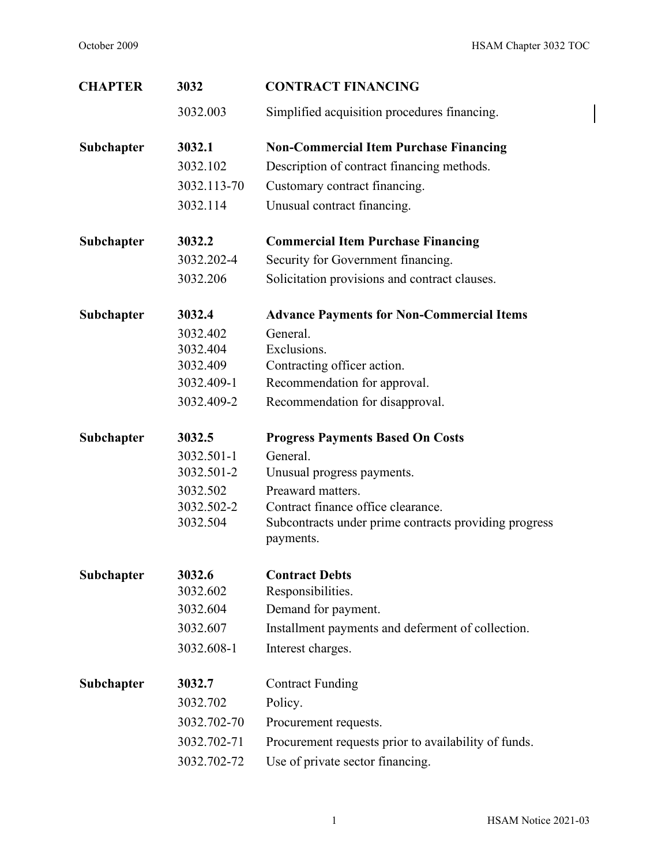$\overline{\phantom{a}}$ 

| <b>CHAPTER</b> | 3032        | <b>CONTRACT FINANCING</b>                                          |
|----------------|-------------|--------------------------------------------------------------------|
|                | 3032.003    | Simplified acquisition procedures financing.                       |
| Subchapter     | 3032.1      | <b>Non-Commercial Item Purchase Financing</b>                      |
|                | 3032.102    | Description of contract financing methods.                         |
|                | 3032.113-70 | Customary contract financing.                                      |
|                | 3032.114    | Unusual contract financing.                                        |
| Subchapter     | 3032.2      | <b>Commercial Item Purchase Financing</b>                          |
|                | 3032.202-4  | Security for Government financing.                                 |
|                | 3032.206    | Solicitation provisions and contract clauses.                      |
| Subchapter     | 3032.4      | <b>Advance Payments for Non-Commercial Items</b>                   |
|                | 3032.402    | General.                                                           |
|                | 3032.404    | Exclusions.                                                        |
|                | 3032.409    | Contracting officer action.                                        |
|                | 3032.409-1  | Recommendation for approval.                                       |
|                | 3032.409-2  | Recommendation for disapproval.                                    |
| Subchapter     | 3032.5      | <b>Progress Payments Based On Costs</b>                            |
|                | 3032.501-1  | General.                                                           |
|                | 3032.501-2  | Unusual progress payments.                                         |
|                | 3032.502    | Preaward matters.                                                  |
|                | 3032.502-2  | Contract finance office clearance.                                 |
|                | 3032.504    | Subcontracts under prime contracts providing progress<br>payments. |
| Subchapter     | 3032.6      | <b>Contract Debts</b>                                              |
|                | 3032.602    | Responsibilities.                                                  |
|                | 3032.604    | Demand for payment.                                                |
|                | 3032.607    | Installment payments and deferment of collection.                  |
|                | 3032.608-1  | Interest charges.                                                  |
| Subchapter     | 3032.7      | <b>Contract Funding</b>                                            |
|                | 3032.702    | Policy.                                                            |
|                | 3032.702-70 | Procurement requests.                                              |
|                | 3032.702-71 | Procurement requests prior to availability of funds.               |
|                | 3032.702-72 | Use of private sector financing.                                   |